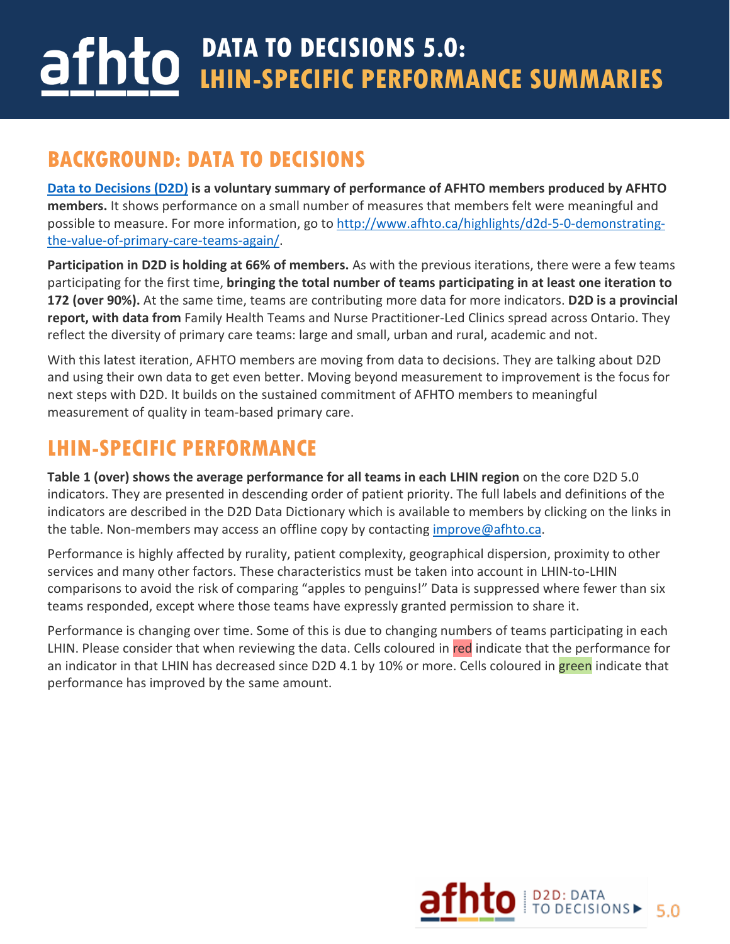## **DATA TO DECISIONS 5.0:** hto I **LHIN-SPECIFIC PERFORMANCE SUMMARIES**

## **BACKGROUND: DATA TO DECISIONS**

**[Data to Decisions \(D2D\)](http://www.afhto.ca/measurement/afhto-members-making-progress-on-primary-care-measurement/) is a voluntary summary of performance of AFHTO members produced by AFHTO members.** It shows performance on a small number of measures that members felt were meaningful and possible to measure. For more information, go to [http://www.afhto.ca/highlights/d2d-5-0-demonstrating](http://www.afhto.ca/highlights/d2d-5-0-demonstrating-the-value-of-primary-care-teams-again/)[the-value-of-primary-care-teams-again/.](http://www.afhto.ca/highlights/d2d-5-0-demonstrating-the-value-of-primary-care-teams-again/)

**Participation in D2D is holding at 66% of members.** As with the previous iterations, there were a few teams participating for the first time, **bringing the total number of teams participating in at least one iteration to 172 (over 90%).** At the same time, teams are contributing more data for more indicators. **D2D is a provincial report, with data from** Family Health Teams and Nurse Practitioner-Led Clinics spread across Ontario. They reflect the diversity of primary care teams: large and small, urban and rural, academic and not.

With this latest iteration, AFHTO members are moving from data to decisions. They are talking about D2D and using their own data to get even better. Moving beyond measurement to improvement is the focus for next steps with D2D. It builds on the sustained commitment of AFHTO members to meaningful measurement of quality in team-based primary care.

## **LHIN-SPECIFIC PERFORMANCE**

**Table 1 (over) shows the average performance for all teams in each LHIN region** on the core D2D 5.0 indicators. They are presented in descending order of patient priority. The full labels and definitions of the indicators are described in the D2D Data Dictionary which is available to members by clicking on the links in the table. Non-members may access an offline copy by contacting [improve@afhto.ca.](mailto:improve@afhto.ca)

Performance is highly affected by rurality, patient complexity, geographical dispersion, proximity to other services and many other factors. These characteristics must be taken into account in LHIN-to-LHIN comparisons to avoid the risk of comparing "apples to penguins!" Data is suppressed where fewer than six teams responded, except where those teams have expressly granted permission to share it.

Performance is changing over time. Some of this is due to changing numbers of teams participating in each LHIN. Please consider that when reviewing the data. Cells coloured in red indicate that the performance for an indicator in that LHIN has decreased since D2D 4.1 by 10% or more. Cells coloured in green indicate that performance has improved by the same amount.